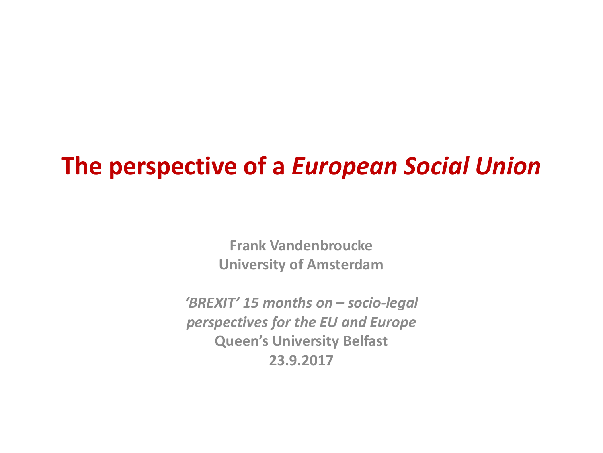# **The perspective of a** *European Social Union*

**Frank Vandenbroucke University of Amsterdam**

*'BREXIT' 15 months on – socio-legal perspectives for the EU and Europe* **Queen's University Belfast 23.9.2017**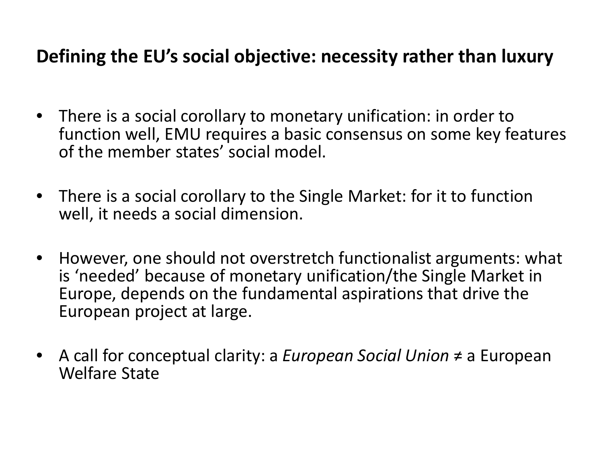#### **Defining the EU's social objective: necessity rather than luxury**

- There is a social corollary to monetary unification: in order to function well, EMU requires a basic consensus on some key features of the member states' social model.
- There is a social corollary to the Single Market: for it to function well, it needs a social dimension.
- However, one should not overstretch functionalist arguments: what is 'needed' because of monetary unification/the Single Market in Europe, depends on the fundamental aspirations that drive the European project at large.
- A call for conceptual clarity: a *European Social Union* ≠ a European Welfare State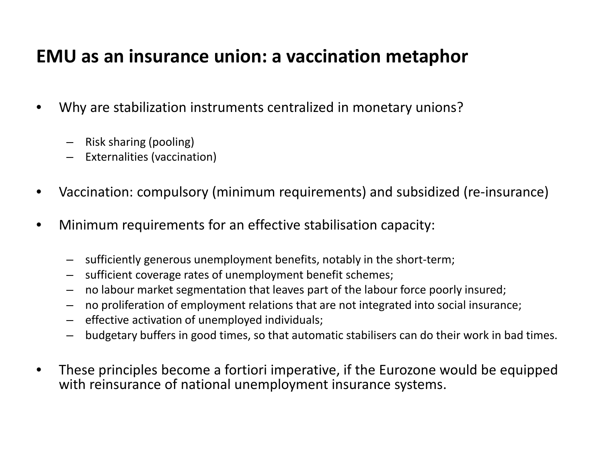#### **EMU as an insurance union: a vaccination metaphor**

- Why are stabilization instruments centralized in monetary unions?
	- Risk sharing (pooling)
	- Externalities (vaccination)
- Vaccination: compulsory (minimum requirements) and subsidized (re-insurance)
- Minimum requirements for an effective stabilisation capacity:
	- sufficiently generous unemployment benefits, notably in the short-term;
	- sufficient coverage rates of unemployment benefit schemes;
	- no labour market segmentation that leaves part of the labour force poorly insured;
	- no proliferation of employment relations that are not integrated into social insurance;
	- effective activation of unemployed individuals;
	- budgetary buffers in good times, so that automatic stabilisers can do their work in bad times.
- These principles become a fortiori imperative, if the Eurozone would be equipped with reinsurance of national unemployment insurance systems.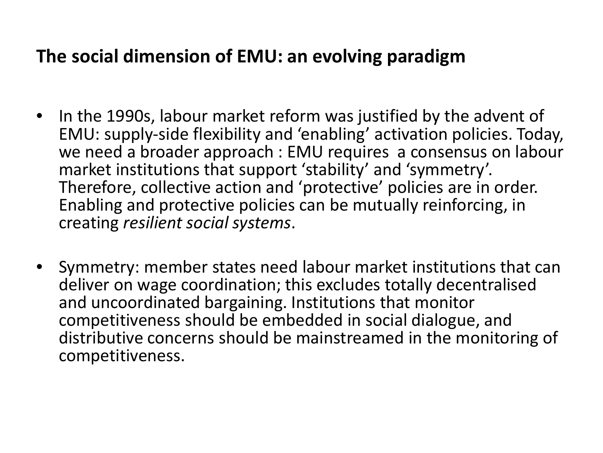#### **The social dimension of EMU: an evolving paradigm**

- In the 1990s, labour market reform was justified by the advent of EMU: supply-side flexibility and 'enabling' activation policies. Today, we need a broader approach : EMU requires a consensus on labour market institutions that support 'stability' and 'symmetry'. Therefore, collective action and 'protective' policies are in order. Enabling and protective policies can be mutually reinforcing, in creating *resilient social systems*.
- Symmetry: member states need labour market institutions that can deliver on wage coordination; this excludes totally decentralised and uncoordinated bargaining. Institutions that monitor competitiveness should be embedded in social dialogue, and distributive concerns should be mainstreamed in the monitoring of competitiveness.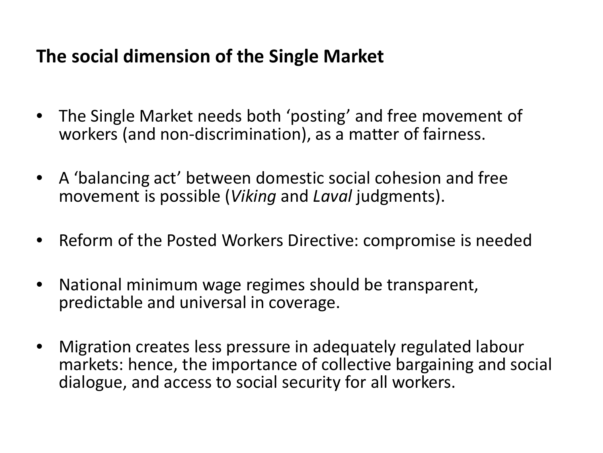#### **The social dimension of the Single Market**

- The Single Market needs both 'posting' and free movement of workers (and non-discrimination), as a matter of fairness.
- A 'balancing act' between domestic social cohesion and free movement is possible (*Viking* and *Laval* judgments).
- Reform of the Posted Workers Directive: compromise is needed
- National minimum wage regimes should be transparent, predictable and universal in coverage.
- Migration creates less pressure in adequately regulated labour markets: hence, the importance of collective bargaining and social dialogue, and access to social security for all workers.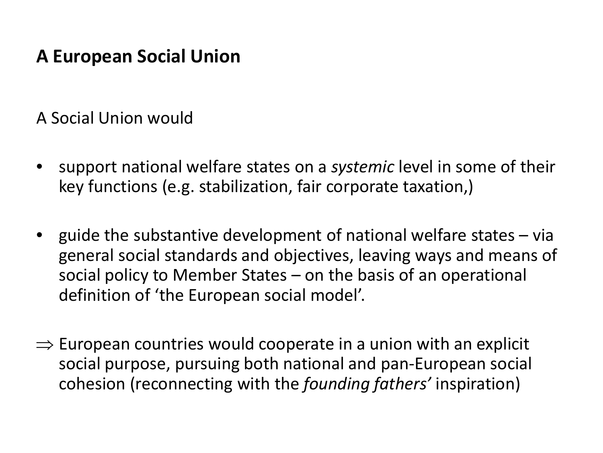#### **A European Social Union**

A Social Union would

- support national welfare states on a *systemic* level in some of their key functions (e.g. stabilization, fair corporate taxation,)
- guide the substantive development of national welfare states via general social standards and objectives, leaving ways and means of social policy to Member States – on the basis of an operational definition of 'the European social model'.
- $\Rightarrow$  European countries would cooperate in a union with an explicit social purpose, pursuing both national and pan-European social cohesion (reconnecting with the *founding fathers'* inspiration)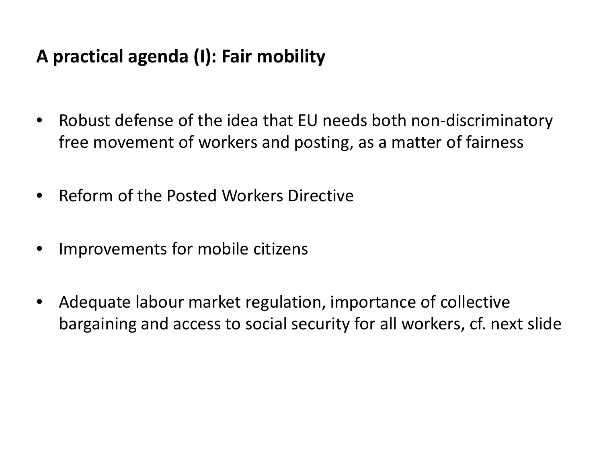## **A practical agenda (I): Fair mobility**

- Robust defense of the idea that EU needs both non-discriminatory free movement of workers and posting, as a matter of fairness
- Reform of the Posted Workers Directive
- Improvements for mobile citizens
- Adequate labour market regulation, importance of collective bargaining and access to social security for all workers, cf. next slide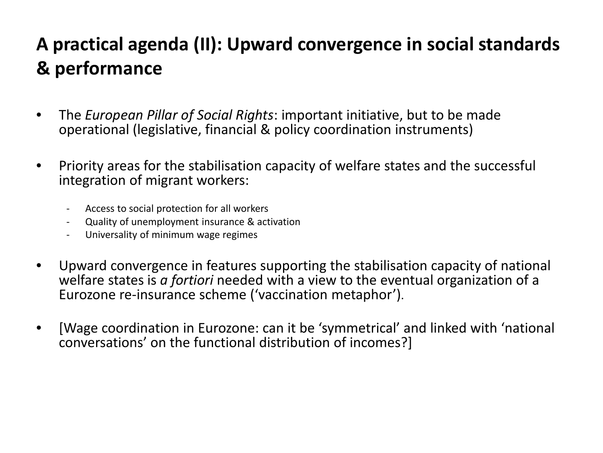# **A practical agenda (II): Upward convergence in social standards & performance**

- The *European Pillar of Social Rights*: important initiative, but to be made operational (legislative, financial & policy coordination instruments)
- Priority areas for the stabilisation capacity of welfare states and the successful integration of migrant workers:
	- Access to social protection for all workers
	- Quality of unemployment insurance & activation
	- Universality of minimum wage regimes
- Upward convergence in features supporting the stabilisation capacity of national welfare states is *a fortiori* needed with a view to the eventual organization of a Eurozone re-insurance scheme ('vaccination metaphor').
- [Wage coordination in Eurozone: can it be 'symmetrical' and linked with 'national conversations' on the functional distribution of incomes?]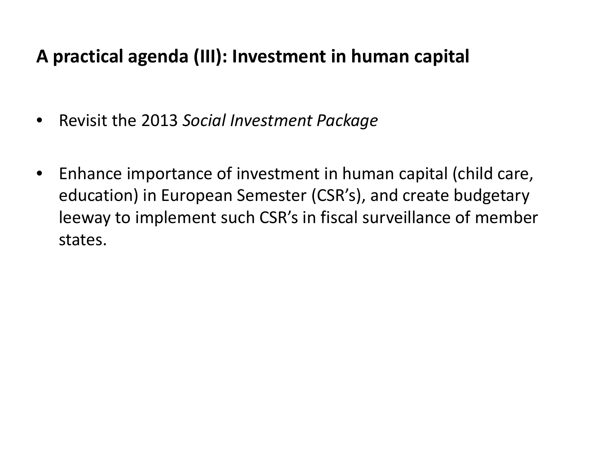## **A practical agenda (III): Investment in human capital**

- Revisit the 2013 *Social Investment Package*
- Enhance importance of investment in human capital (child care, education) in European Semester (CSR's), and create budgetary leeway to implement such CSR's in fiscal surveillance of member states.